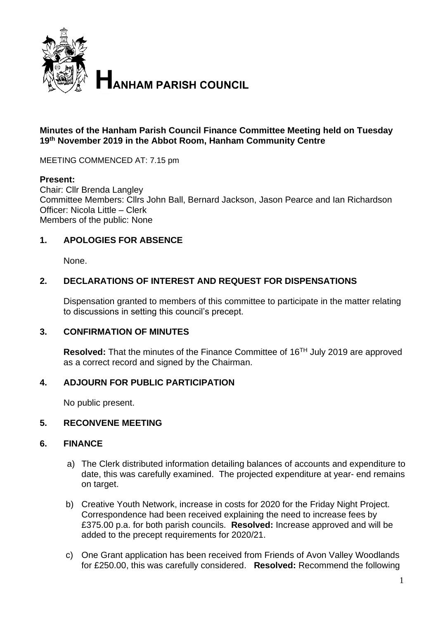

#### **Minutes of the Hanham Parish Council Finance Committee Meeting held on Tuesday 19th November 2019 in the Abbot Room, Hanham Community Centre**

MEETING COMMENCED AT: 7.15 pm

#### **Present:**

Chair: Cllr Brenda Langley Committee Members: Cllrs John Ball, Bernard Jackson, Jason Pearce and Ian Richardson Officer: Nicola Little – Clerk Members of the public: None

## **1. APOLOGIES FOR ABSENCE**

None.

## **2. DECLARATIONS OF INTEREST AND REQUEST FOR DISPENSATIONS**

Dispensation granted to members of this committee to participate in the matter relating to discussions in setting this council's precept.

#### **3. CONFIRMATION OF MINUTES**

**Resolved:** That the minutes of the Finance Committee of 16TH July 2019 are approved as a correct record and signed by the Chairman.

#### **4. ADJOURN FOR PUBLIC PARTICIPATION**

No public present.

#### **5. RECONVENE MEETING**

#### **6. FINANCE**

- a) The Clerk distributed information detailing balances of accounts and expenditure to date, this was carefully examined. The projected expenditure at year- end remains on target.
- b) Creative Youth Network, increase in costs for 2020 for the Friday Night Project. Correspondence had been received explaining the need to increase fees by £375.00 p.a. for both parish councils. **Resolved:** Increase approved and will be added to the precept requirements for 2020/21.
- c) One Grant application has been received from Friends of Avon Valley Woodlands for £250.00, this was carefully considered. **Resolved:** Recommend the following